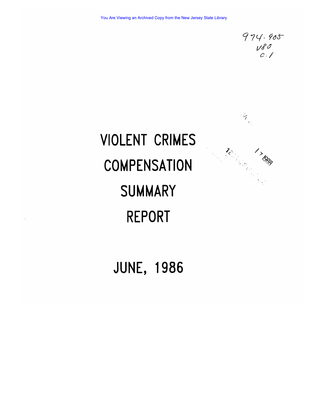$974.905$  $Vg$ 

**RANGE** 

**SERVINGS 17000** 

# VIOLENT CRIMES **COMPENSATION** SUMMARY REPORT

# JUNE, 1986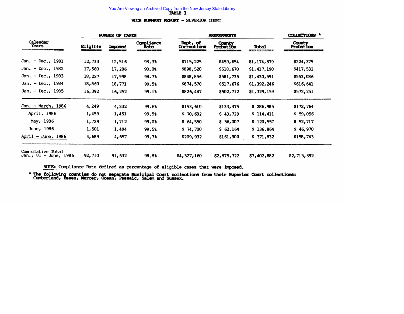#### VCCB SUMMARY REPORT - SUPERIOR COURT

|                                                                                                                                                                                                                                                           |                                                                | <b>NUMBER OF CASES</b>              |                    | <b>ASSESSMENTS</b>      | <b>COLLECTIONS *</b>                                              |             |                            |
|-----------------------------------------------------------------------------------------------------------------------------------------------------------------------------------------------------------------------------------------------------------|----------------------------------------------------------------|-------------------------------------|--------------------|-------------------------|-------------------------------------------------------------------|-------------|----------------------------|
| Calendar<br>Years<br><u> Andreas Andreas ann an Cairlige ann an Cairlige ann an Cairlige ann an Cairlige ann an Cairlige ann an Cairlige ann an Cairlige ann an Cairlige ann an Cairlige ann an Cairlige ann an Cairlige ann an Cairlige ann an Cairl</u> | Eligible<br><u> Andreas and State State State State Sta</u> te | <b>Imposed</b><br><b>CONTRACTOR</b> | Compliance<br>Rate | Dept. of<br>Corrections | County<br>Probation<br><b>Contract Contract Contract Contract</b> | Total       | <b>County</b><br>Probation |
| Jan. - Dec., 1981                                                                                                                                                                                                                                         | 12,733                                                         | 12,516                              | 98.38              | \$715,225               | \$459,654                                                         | \$1,174,879 | \$224,375                  |
| Jan. - Dec., 1982                                                                                                                                                                                                                                         | 17,560                                                         | 17,206                              | 98.08              | \$898,520               | \$518,670                                                         | \$1,417,190 | \$417,532                  |
| Jan. - Dec., 1983                                                                                                                                                                                                                                         | 18,227                                                         | 17,998                              | 98.7%              | \$848,856               | \$581,735                                                         | \$1,430,591 | \$553,086                  |
| Jan. - Dec., $1984$                                                                                                                                                                                                                                       | 18,860                                                         | 18,771                              | 99.58              | \$874,570               | \$517,676                                                         | \$1,392,246 | \$616,641                  |
| Jan. - Dec., 1985                                                                                                                                                                                                                                         | 16,392                                                         | 16,252                              | 99.18              | \$826,447               | \$502,712                                                         | \$1,329,159 | \$572,251                  |
| Jan. - March, 1986                                                                                                                                                                                                                                        | 4,249                                                          | 4,232                               | 99.68              | \$153,610               | \$133,375                                                         | \$286,985   | \$172,764                  |
| April, 1986                                                                                                                                                                                                                                               | 1,459                                                          | 1,451                               | 99.58              | \$70,682                | \$43,729                                                          | \$114,411   | \$59,056                   |
| May, 1986                                                                                                                                                                                                                                                 | 1,729                                                          | 1,712                               | 99.0%              | \$64,550                | \$56,007                                                          | \$120,557   | \$52,717                   |
| June, 1986                                                                                                                                                                                                                                                | 1,501                                                          | 1,494                               | 99.58              | \$74,700                | \$62,164                                                          | \$136,864   | \$46,970                   |
| April - June, $1986$                                                                                                                                                                                                                                      | 4,689                                                          | 4,657                               | 99.38              | \$209,932               | \$161,900                                                         | \$371,832   | \$158,743                  |
| Cummulative Total<br>Jan., $81 - June$ , 1986                                                                                                                                                                                                             | 92,710                                                         | 91,632                              | 98.8%              | \$4,527,160             | \$2,875,722                                                       | \$7,402,882 | \$2,715,392                |

NOTE: Compliance Rate defined as percentage of eligible cases that were imposed.

 $\sim$ 

\* The following counties do not separate Municipal Court collections from their Superior Court collections: Cumberland, Essex, Mercer, Ocean, Passaic, Salem and Sussex.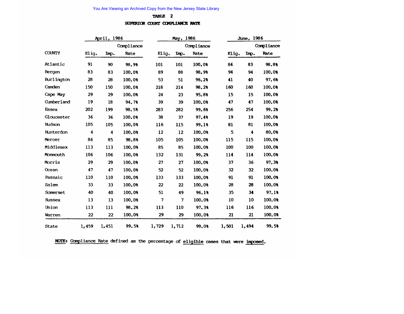#### TABLE 2

#### SUPERIOR COURT COMPLIANCE RATE

|               |       | April, 1986 |            |       | May, 1986       |            | June, 1986 |       |            |
|---------------|-------|-------------|------------|-------|-----------------|------------|------------|-------|------------|
|               |       |             | Compliance |       |                 | Compliance |            |       | Compliance |
| <b>COUNTY</b> | Elig. | Imp.        | Rate       | Elig. | Imp.            | Rate       | Elig.      | Imp.  | Rate       |
| Atlantic      | 91    | 90          | 98.98      | 101   | 101             | 100.08     | 84         | 83    | 98.88      |
| Bergen        | 83    | 83          | 100.08     | 89    | 88              | 98.98      | 94         | 94    | 100.0%     |
| Burlington    | 28    | 28          | 100.08     | 53    | 51              | 96.2%      | 41         | 40    | 97.6%      |
| Camden        | 150   | 150         | 100.08     | 218   | 214             | 98.28      | 160        | 160   | 100.08     |
| Cape May      | 29    | 29          | 100.08     | 24    | 23              | 95.88      | 15         | 15    | 100.08     |
| Cumberland    | 19    | 18          | 94.7%      | 39    | 39              | 100.08     | 47         | 47    | 100.0%     |
| <b>Essex</b>  | 202   | 199         | 98.5%      | 283   | 282             | 99.68      | 256        | 254   | 99.28      |
| Gloucester    | 36    | 36          | 100.0%     | 38    | 37              | 97.48      | 19         | 19    | 100.08     |
| Hudson        | 105   | 105         | 100.08     | 116   | 115             | 99.18      | 81         | 81    | 100.0%     |
| Hunterdon     | 4     | 4           | 100.0%     | 12    | 12              | 100.08     | 5          | 4     | 80.0%      |
| Mercer        | 86    | 85          | 98.8%      | 105   | 105             | 100.0%     | 115        | 115   | 100.08     |
| Middlesex     | 113   | 113         | 100.0%     | 85    | 85              | 100.08     | 100        | 100   | 100.0%     |
| Monmouth      | 106   | 106         | 100.0%     | 132   | 131             | 99.2%      | 114        | 114   | 100.08     |
| Morris        | 29    | 29          | 100.0%     | 27    | 27              | 100.08     | 37         | 36    | 97.3%      |
| Ocean         | 47    | 47          | 100.0%     | 52    | 52              | 100.08     | 32         | 32    | 100.08     |
| Passaic       | 110   | 110         | 100.08     | 133   | 133             | 100.08     | 91         | 91    | 100.08     |
| Salem         | 33    | 33          | 100.08     | 22    | 22              | 100.08     | 28         | 28    | 100.08     |
| Somerset      | 40    | 40          | 100.08     | 51    | 49              | 96.18      | 35         | 34    | 97.18      |
| <b>Sussex</b> | 13    | 13          | 100.08     | 7     | $7\phantom{.0}$ | 100.08     | 10         | 10    | 100.0%     |
| Union         | 113   | 111         | 98.28      | 113   | 110             | 97.38      | 116        | 116   | 100.08     |
| Warren        | 22    | 22          | 100.08     | 29    | 29              | 100.08     | 21         | 21    | 100.08     |
| State         | 1,459 | 1,451       | 99.5%      | 1,729 | 1,712           | 99.08      | 1,501      | 1,494 | 99.5%      |

NOTE: Compliance Rate defined as the percentage of eligible cases that were imposed.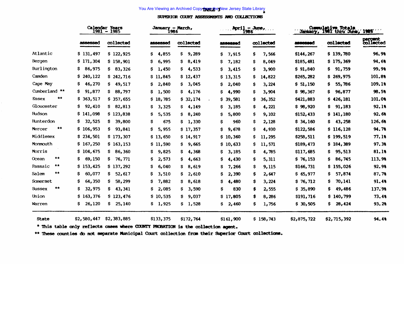SUPERIOR COURT ASSESSMENTS AND COLLECTIONS

|                     | <b>Calendar Years</b><br>January - March,<br>1981<br>1985<br>1986<br>$\qquad \qquad \blacksquare$ |              |              |              | $Apr11 - \lambda m$ e,<br>1986 | <b>Cummulative Totals</b><br>January, 1981 thru June, 1986 |             |              |                      |
|---------------------|---------------------------------------------------------------------------------------------------|--------------|--------------|--------------|--------------------------------|------------------------------------------------------------|-------------|--------------|----------------------|
|                     | assessed                                                                                          | collected    | assessed     | collected    | <b>assessed</b>                | collected                                                  | assessed    | collected    | percent<br>collected |
| Atlantic            | \$131,497                                                                                         | \$122,925    | 4,855<br>Ş.  | 9,289<br>\$  | \$<br>7,915                    | s<br>7,566                                                 | \$144,267   | \$139,780    | 96.9%                |
| Bergen              | \$171,304                                                                                         | \$158,901    | S.<br>6,995  | 8,419<br>s   | 7,182<br>s                     | s<br>8,049                                                 | \$185,481   | \$175,369    | 94.68                |
| Burlington          | 86,975<br>Ş.                                                                                      | 83,326<br>S. | S.<br>1,450  | s<br>4,533   | s<br>3,415                     | s<br>3,900                                                 | \$91,840    | 91,759<br>s  | 99.9%                |
| Camden              | S.<br>240,122                                                                                     | \$242,716    | \$11,845     | \$12,437     | \$13,315                       | 14,822<br>s                                                | \$265,282   | \$269,975    | 101.8%               |
| Cape May            | 46,270<br>s                                                                                       | 49,517<br>s  | \$.<br>2,840 | 3,045<br>Ş.  | s<br>2,040                     | s<br>3,224                                                 | \$51,150    | 55,786<br>s  | 109.1%               |
| Cumberland **       | 91,877<br>s                                                                                       | S.<br>88,797 | S.<br>1,500  | s<br>4,176   | Ś<br>4,990                     | s<br>3,904                                                 | \$98,367    | 96,877<br>s  | 98.5%                |
| **<br>Essex         | \$363,517                                                                                         | \$357,655    | \$18,785     | \$32,174     | \$39,581                       | 36, 352<br>s                                               | \$421,883   | \$426,181    | 101.0%               |
| Gloucester          | s<br>92,410                                                                                       | 82,813<br>s  | 3,325<br>s   | S.<br>4,149  | s<br>3,185                     | s<br>4,221                                                 | \$98,920    | 91,183<br>S. | 92.18                |
| Hudson              | \$141,098                                                                                         | \$123,838    | \$.<br>5,535 | 8,240<br>\$. | Ś<br>5,800                     | s<br>9,102                                                 | \$152,433   | \$141,180    | 92.68                |
| Hunterdon           | s<br>32,525                                                                                       | 39,800<br>S. | s<br>675     | s<br>1,330   | \$<br>960                      | s<br>2,128                                                 | \$34,160    | 43,258<br>s. | 126.68               |
| $***$<br>Mercer     | \$106,953                                                                                         | 93,841<br>S. | 5,955<br>S.  | \$17,357     | S<br>9,678                     | s<br>4,930                                                 | \$122,586   | \$116,128    | 94.7%                |
| Middlesex           | \$234,501                                                                                         | \$173,307    | \$13,650     | \$14,917     | \$10,360                       | s<br>11,295                                                | \$258,511   | \$199,519    | 77.1%                |
| Monmouth            | \$167,250                                                                                         | \$163,153    | \$11,590     | 9,665<br>S.  | \$10,633                       | s<br>11,571                                                | \$189,473   | \$184,389    | 97.38                |
| Morris              | \$104,675                                                                                         | 86,360<br>S. | s.<br>9,825  | s<br>4,368   | S<br>3,185                     | s<br>4,785                                                 | \$117,685   | 95,513<br>s. | 81.1%                |
| **<br>Ocean         | 69,150<br>s                                                                                       | S.<br>76,771 | \$<br>2,573  | s<br>4,663   | s<br>4,430                     | s<br>5,311                                                 | \$76,153    | 86,745<br>s  | 113.9%               |
| **<br>Passaic       | \$153,425                                                                                         | \$137,292    | \$<br>6,040  | 8,619<br>s   | 7,266<br>s                     | \$<br>9,115                                                | \$166,731   | \$155,026    | 92.98                |
| **<br>Salem         | 60,077                                                                                            | S.<br>52,617 | 3,510<br>S.  | 2,610<br>s   | 2,390<br>s                     | s<br>2,647                                                 | \$65,977    | 57,874<br>S. | 87.7%                |
| Somerset            | 64,350                                                                                            | s<br>58,299  | 7,882<br>s   | s<br>8,618   | 4,480<br>s                     | s<br>3,224                                                 | \$76,712    | 70,141<br>s  | 91.4%                |
| **<br><b>Sussex</b> | 32,975                                                                                            | 43,341<br>S. | 2,085<br>s.  | 3,590<br>s   | s<br>830                       | s<br>2,555                                                 | \$35,890    | 49,486<br>S. | 137.9%               |
| Union               | \$163,376                                                                                         | \$123,476    | \$10,535     | s<br>9,037   | \$17,805                       | s<br>8,286                                                 | \$191,716   | \$140,799    | 73.4%                |
| Warren              | 26,120<br>s                                                                                       | s<br>25,140  | 1,925<br>S.  | s<br>1,528   | 2,460<br>s                     | s<br>1,756                                                 | \$30,505    | 28,424<br>s  | 93.2%                |
| <b>State</b>        | \$2,580,447                                                                                       | \$2,383,885  | \$133,375    | \$172,764    | \$161,900                      | \$158,743                                                  | \$2,875,722 | \$2,715,392  | 94.4%                |

\* This table only reflects cases where COUNTY PROBATION is the collection agent.

\*\* These counties do not separate Municipal Court collection from their Superior Court collections.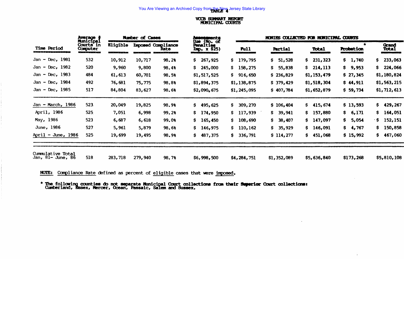### **VCCB SUMMARY REPORT<br>MUNICIPAL COURTS**

|                                                                             | Average<br>Municipal                                        | Number of Cases |         |                            | Assessments                                                                       |               | MONIES COLLECTED FOR MUNICIPAL COURTS |                |                  |                       |  |
|-----------------------------------------------------------------------------|-------------------------------------------------------------|-----------------|---------|----------------------------|-----------------------------------------------------------------------------------|---------------|---------------------------------------|----------------|------------------|-----------------------|--|
| Time Period<br>and the problem of the company of the problem of the company | Courts in<br>Computer<br>and the first property of the con- | <b>Eligible</b> |         | Imposed Compliance<br>Rate | Due (No. of<br>Penalties<br>Imp. $x$ \$25)<br>the state of the state of the state | <b>Pull</b>   | Partial                               | Total          | <b>Probation</b> | Grand<br><b>Total</b> |  |
| Jan - Dec. 1981                                                             | 532                                                         | 10,912          | 10,717  | 98.28                      | 267,925<br>S.                                                                     | 179,795<br>S. | 51,528<br>S.                          | 231,323<br>S.  | S.<br>1,740      | 233,063<br>S.         |  |
| Jan - Dec. $1982$                                                           | 520                                                         | 9,960           | 9,800   | 98.48                      | \$245,000                                                                         | \$158,275     | S.<br>55,838                          | 214, 113<br>S. | \$9,953          | 224,066<br>S.         |  |
| Jan - Dec. $1983$                                                           | 484                                                         | 61, 613         | 60,701  | 98.58                      | \$1,517,525                                                                       | 916,650<br>S. | \$236,829                             | \$1,153,479    | \$27,345         | \$1,180,824           |  |
| Jan - Dec, $1984$                                                           | 492                                                         | 76,681          | 75,775  | 98.8%                      | \$1,894,375                                                                       | \$1,138,875   | \$379,429                             | \$1,518,304    | \$44,911         | \$1,563,215           |  |
| Jan - Dec. $1985$                                                           | 517                                                         | 84,804          | 83,627  | 98.68                      | \$2,090,675                                                                       | \$1, 245, 095 | \$407,784                             | \$1,652,879    | \$59,734         | \$1, 712, 613         |  |
| Jan - March, 1986                                                           | 523.                                                        | 20,049          | 19,825  | 98.98                      | \$495,625                                                                         | 309,270<br>S. | \$106,404                             | 415,674<br>S.  | \$13,593         | \$429, 267            |  |
| April, 1986                                                                 | 525                                                         | 7,051           | 6,998   | 99.2%                      | \$174,950                                                                         | 117,939<br>S. | 39,941<br>\$.                         | 157,880<br>S.  | \$ 6,171         | s<br>164,051          |  |
| May, 1986                                                                   | 523                                                         | 6,687           | 6,618   | 99.08                      | \$165,450                                                                         | 108,690<br>S. | 38,407<br>S.                          | 147,097<br>S.  | 5,054<br>S.      | 152,151<br>۰S         |  |
| June, 1986                                                                  | 527                                                         | 5,961           | 5,879   | 98.68                      | \$146,975                                                                         | 110,162<br>S. | 35,929<br>S.                          | 146,091<br>S.  | \$4,767          | S.<br>150,858         |  |
| April - June, 1986                                                          | 525                                                         | 19,699          | 19,495  | 98.98                      | \$487,375                                                                         | 336,791<br>S. | \$114,277                             | 451,068<br>S.  | \$15,992         | 467,060<br>S.         |  |
| Cummulative Total<br>Jan, 81- June, 86                                      | 518                                                         | 283,718         | 279,940 | 98.78                      | \$6,998,500                                                                       | \$4,284,751   | \$1,352,089                           | \$5,636,840    | \$173,268        | \$5,810,108           |  |

 $\bullet$ 

NOTE: Compliance Rate defined as percent of eligible cases that were imposed.

\* The following counties do not separate Municipal Court collections from their Superior Court collections: Cumberland, Essex, Mercer, Ocean, Passaic, Salem and Sussex.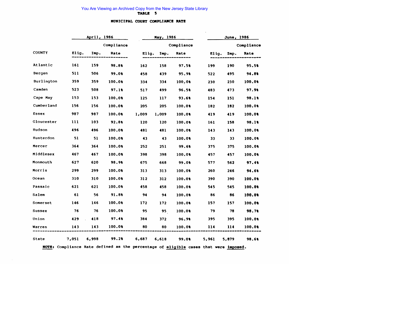#### MUNICIPAL COURT COMPLIANCE RATE

 $\overline{a}$ 

|               | April, 1986 |       |            |       | May, 1986 |            | June, 1986 |       |            |  |
|---------------|-------------|-------|------------|-------|-----------|------------|------------|-------|------------|--|
|               |             |       | Compliance |       |           | Compliance |            |       | Compliance |  |
| <b>COUNTY</b> | Elig.       | Imp.  | Rate       | Elig. | Imp.      | Rate       | Elia.      | Imp.  | Rate       |  |
| Atlantic      | 161         | 159   | 98.8%      | 162   | 158       | 97.58      | 199        | 190   | 95.5%      |  |
| Bergen        | 511         | 506   | 99.0%      | 458   | 439       | 95.9%      | 522        | 495   | 94.8%      |  |
| Burlington    | 359         | 359   | 100.00     | 334   | 334       | 100.0%     | 230        | 230   | 100.0%     |  |
| Camden        | 523         | 508   | 97.18      | 517   | 499       | 96.5%      | 483        | 473   | 97.9%      |  |
| Cape May      | 153         | 153   | 100.08     | 125   | 117       | 93.68      | 154        | 151   | 98.1%      |  |
| Cumberland    | 156         | 156   | 100.08     | 205   | 205       | 100.0%     | 182        | 182   | 100.0%     |  |
| Essex         | 987         | 987   | 100.0%     | 1,009 | 1,009     | 100.08     | 419        | 419   | 100.0%     |  |
| Gloucester    | 111         | 103   | 92.8%      | 120   | 120       | 100.0%     | 161        | 158   | 98.18      |  |
| Hudson        | 496         | 496   | 100.0%     | 481   | 481       | 100.0%     | 143        | 143   | 100.0%     |  |
| Hunterdon     | 51          | 51    | 100.00     | 43    | 43        | 100.0%     | 33         | 33    | 100.00     |  |
| Mercer        | 364         | 364   | 100.08     | 252   | 251       | 99.6%      | 375        | 375   | 100.0%     |  |
| Middlesex     | 467         | 467   | 100.0%     | 398   | 398       | 100.0%     | 457        | 457   | 100.00     |  |
| Monmouth      | 627         | 620   | 98.9%      | 675   | 668       | 99.0%      | 577        | 562   | 97.4%      |  |
| Morris        | 299         | 299   | 100.0%     | 313   | 313       | 100.0%     | 260        | 246   | 94.68      |  |
| Ocean         | 310         | 310   | 100.00     | 312   | 312       | 100.00     | 390        | 390   | 100.00     |  |
| Passaic       | 621         | 621   | 100.00     | 458   | 458       | 100.0%     | 545        | 545   | 100.0%     |  |
| Salem         | 61          | 56    | 91.8%      | 94    | 94        | 100.0%     | 86         | 86    | 100.0%     |  |
| Somerset      | 146         | 146   | 100.00     | 172   | 172       | 100.0%     | 157        | 157   | 100.0%     |  |
| Sussex        | 76          | 76    | 100.0%     | 95    | 95        | 100.0%     | 79         | 78    | 98.7%      |  |
| Union         | 429         | 418   | 97.48      | 384   | 372       | 96.98      | 395        | 395   | 100.00     |  |
| Warren        | 143         | 143   | 100.00     | 80    | 80        | 100.0%     | 114        | 114   | 100.00     |  |
| State         | 7,051       | 6,998 | 99.28      | 6,687 | 6,618     | 99.08      | 5,961      | 5,879 | 98.6%      |  |

NOTE: Compliance Rate defined as the percentage of eligible cases that were imposed.